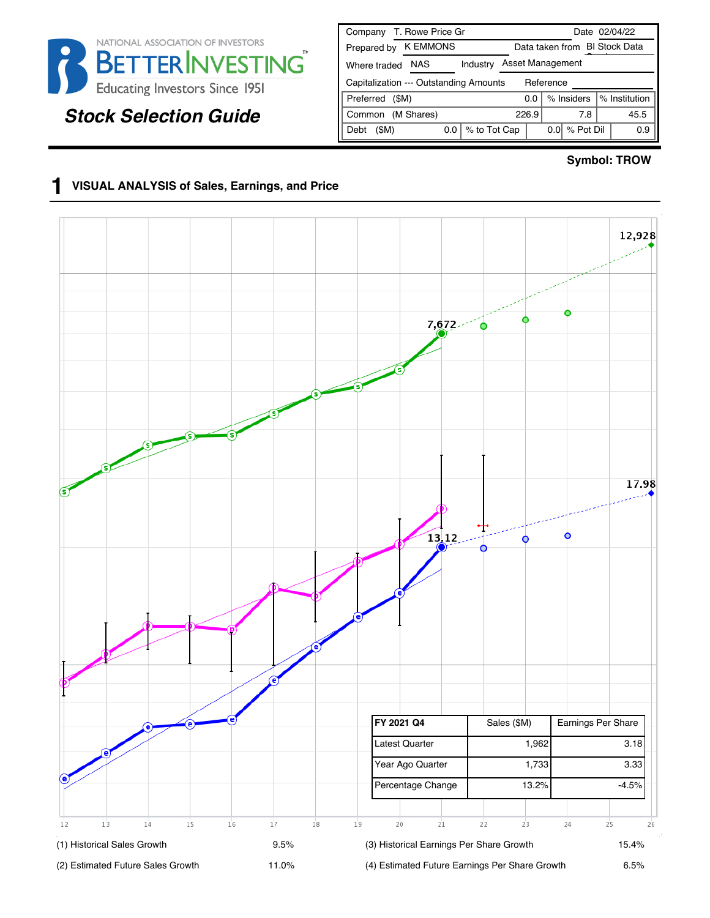

# *Stock Selection Guide*

| T. Rowe Price Gr<br>Company                         | Date 02/04/22                        |  |  |  |  |  |
|-----------------------------------------------------|--------------------------------------|--|--|--|--|--|
| <b>K EMMONS</b><br>Prepared by                      | Data taken from BI Stock Data        |  |  |  |  |  |
| <b>NAS</b><br>Industry<br>Where traded              | Asset Management                     |  |  |  |  |  |
| Capitalization --- Outstanding Amounts<br>Reference |                                      |  |  |  |  |  |
| Preferred<br>(SM)                                   | % Institution<br>% Insiders<br>ი ი   |  |  |  |  |  |
| (M Shares)<br>Common                                | 45.5<br>226.9<br>7.8                 |  |  |  |  |  |
| % to Tot Cap<br>(SM)<br>0.0<br>Debt                 | % Pot Dil<br>0.0 <sub>l</sub><br>0.9 |  |  |  |  |  |

#### **Symbol: TROW**

### **1 VISUAL ANALYSIS of Sales, Earnings, and Price**